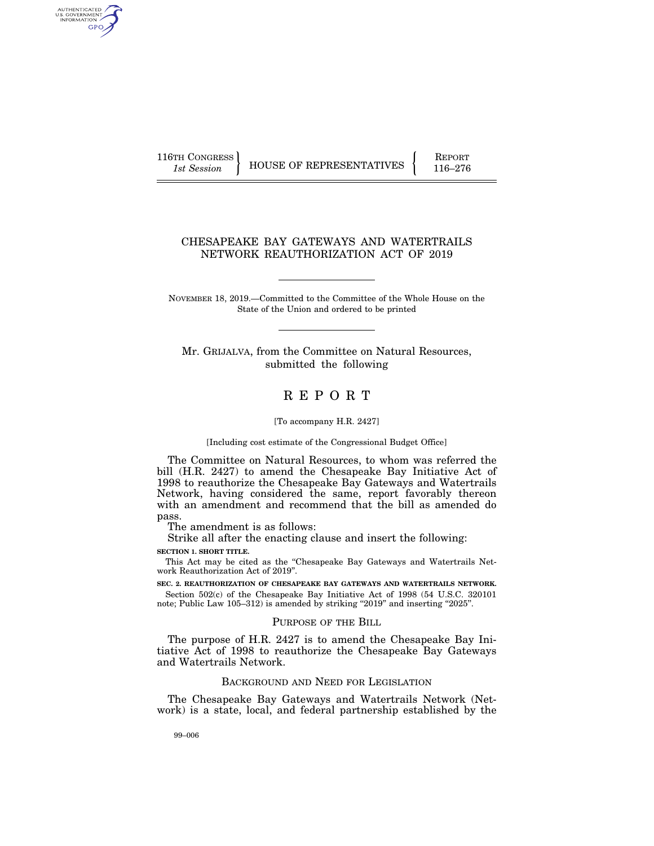AUTHENTICATED<br>U.S. GOVERNMENT<br>INFORMATION GPO

116TH CONGRESS HOUSE OF REPRESENTATIVES FEPORT 116–276

## CHESAPEAKE BAY GATEWAYS AND WATERTRAILS NETWORK REAUTHORIZATION ACT OF 2019

NOVEMBER 18, 2019.—Committed to the Committee of the Whole House on the State of the Union and ordered to be printed

Mr. GRIJALVA, from the Committee on Natural Resources, submitted the following

# R E P O R T

[To accompany H.R. 2427]

[Including cost estimate of the Congressional Budget Office]

The Committee on Natural Resources, to whom was referred the bill (H.R. 2427) to amend the Chesapeake Bay Initiative Act of 1998 to reauthorize the Chesapeake Bay Gateways and Watertrails Network, having considered the same, report favorably thereon with an amendment and recommend that the bill as amended do pass.

The amendment is as follows:

Strike all after the enacting clause and insert the following: **SECTION 1. SHORT TITLE.** 

This Act may be cited as the ''Chesapeake Bay Gateways and Watertrails Network Reauthorization Act of 2019''.

**SEC. 2. REAUTHORIZATION OF CHESAPEAKE BAY GATEWAYS AND WATERTRAILS NETWORK.**  Section 502(c) of the Chesapeake Bay Initiative Act of 1998 (54 U.S.C. 320101 note; Public Law 105-312) is amended by striking "2019" and inserting "2025".

#### PURPOSE OF THE BILL

The purpose of H.R. 2427 is to amend the Chesapeake Bay Initiative Act of 1998 to reauthorize the Chesapeake Bay Gateways and Watertrails Network.

## BACKGROUND AND NEED FOR LEGISLATION

The Chesapeake Bay Gateways and Watertrails Network (Network) is a state, local, and federal partnership established by the

99–006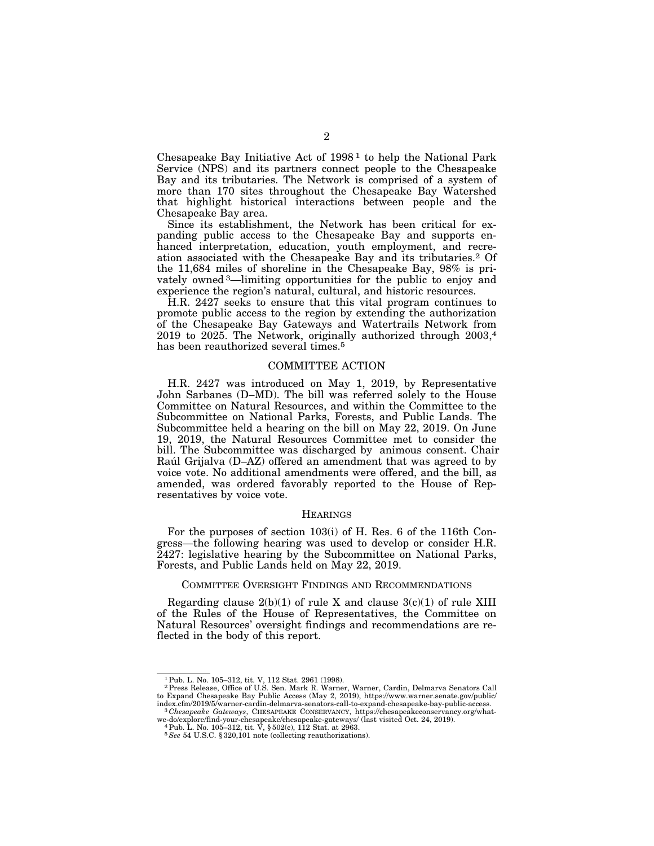Chesapeake Bay Initiative Act of  $1998<sup>1</sup>$  to help the National Park Service (NPS) and its partners connect people to the Chesapeake Bay and its tributaries. The Network is comprised of a system of more than 170 sites throughout the Chesapeake Bay Watershed that highlight historical interactions between people and the Chesapeake Bay area.

Since its establishment, the Network has been critical for expanding public access to the Chesapeake Bay and supports enhanced interpretation, education, youth employment, and recreation associated with the Chesapeake Bay and its tributaries.2 Of the 11,684 miles of shoreline in the Chesapeake Bay, 98% is privately owned 3—limiting opportunities for the public to enjoy and experience the region's natural, cultural, and historic resources.

H.R. 2427 seeks to ensure that this vital program continues to promote public access to the region by extending the authorization of the Chesapeake Bay Gateways and Watertrails Network from 2019 to 2025. The Network, originally authorized through 2003,4 has been reauthorized several times.<sup>5</sup>

#### COMMITTEE ACTION

H.R. 2427 was introduced on May 1, 2019, by Representative John Sarbanes (D–MD). The bill was referred solely to the House Committee on Natural Resources, and within the Committee to the Subcommittee on National Parks, Forests, and Public Lands. The Subcommittee held a hearing on the bill on May 22, 2019. On June 19, 2019, the Natural Resources Committee met to consider the bill. The Subcommittee was discharged by animous consent. Chair Raúl Grijalva (D–AZ) offered an amendment that was agreed to by voice vote. No additional amendments were offered, and the bill, as amended, was ordered favorably reported to the House of Representatives by voice vote.

#### **HEARINGS**

For the purposes of section 103(i) of H. Res. 6 of the 116th Congress—the following hearing was used to develop or consider H.R. 2427: legislative hearing by the Subcommittee on National Parks, Forests, and Public Lands held on May 22, 2019.

#### COMMITTEE OVERSIGHT FINDINGS AND RECOMMENDATIONS

Regarding clause  $2(b)(1)$  of rule X and clause  $3(c)(1)$  of rule XIII of the Rules of the House of Representatives, the Committee on Natural Resources' oversight findings and recommendations are reflected in the body of this report.

<sup>1</sup>Pub. L. No. 105–312, tit. V, 112 Stat. 2961 (1998). 2Press Release, Office of U.S. Sen. Mark R. Warner, Warner, Cardin, Delmarva Senators Call to Expand Chesapeake Bay Public Access (May 2, 2019), https://www.warner.senate.gov/public/ index.cfm/2019/5/warner-cardin-delmarva-senators-call-to-expand-chesapeake-bay-public-access. 3 *Chesapeake Gateways*, CHESAPEAKE CONSERVANCY, https://chesapeakeconservancy.org/what-

we-do/explore/find-your-chesapeake/chesapeake-gateways/ (last visited Oct. 24, 2019). 4Pub. L. No. 105–312, tit. V, § 502(c), 112 Stat. at 2963.

<sup>5</sup>*See* 54 U.S.C. § 320,101 note (collecting reauthorizations).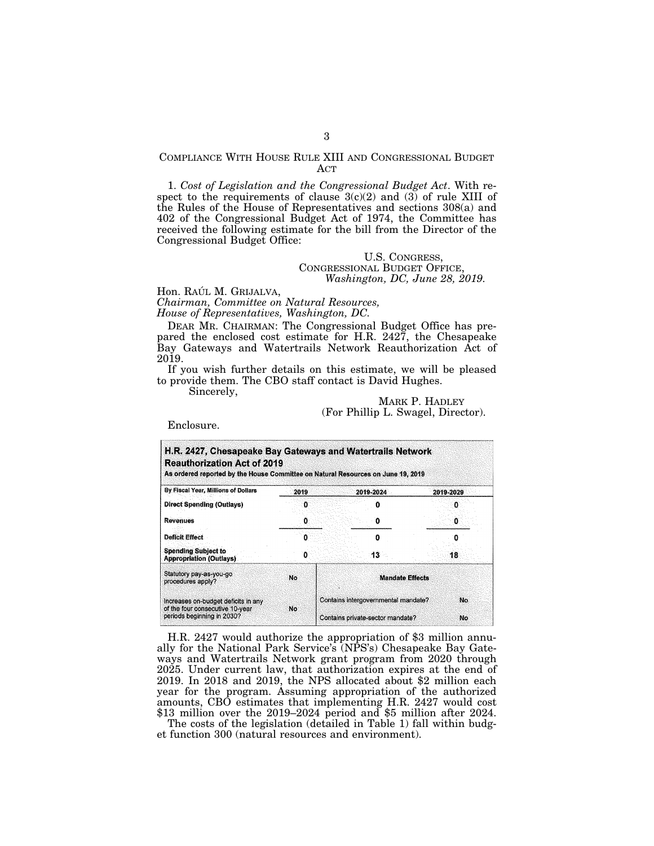### COMPLIANCE WITH HOUSE RULE XIII AND CONGRESSIONAL BUDGET ACT

1. *Cost of Legislation and the Congressional Budget Act*. With respect to the requirements of clause  $3(c)(2)$  and  $(3)$  of rule XIII of the Rules of the House of Representatives and sections 308(a) and 402 of the Congressional Budget Act of 1974, the Committee has received the following estimate for the bill from the Director of the Congressional Budget Office:

### U.S. CONGRESS, CONGRESSIONAL BUDGET OFFICE, *Washington, DC, June 28, 2019.*

Hon. RAÚL M. GRIJALVA, *Chairman, Committee on Natural Resources, House of Representatives, Washington, DC.* 

DEAR MR. CHAIRMAN: The Congressional Budget Office has prepared the enclosed cost estimate for H.R. 2427, the Chesapeake Bay Gateways and Watertrails Network Reauthorization Act of 2019.

If you wish further details on this estimate, we will be pleased to provide them. The CBO staff contact is David Hughes.

Sincerely,

### MARK P. HADLEY (For Phillip L. Swagel, Director).

Enclosure.

| H.R. 2427, Chesapeake Bay Gateways and Watertrails Network<br><b>Reauthorization Act of 2019</b><br>As ordered reported by the House Committee on Natural Resources on June 19, 2019 |      |                                     |                     |  |  |  |
|--------------------------------------------------------------------------------------------------------------------------------------------------------------------------------------|------|-------------------------------------|---------------------|--|--|--|
| By Fiscal Year, Millions of Dollars                                                                                                                                                  | 2019 | 2019-2024                           | 2019-2029<br>0<br>Ω |  |  |  |
| <b>Direct Spending (Outlays)</b>                                                                                                                                                     | 0    |                                     |                     |  |  |  |
| <b>Revenues</b>                                                                                                                                                                      | o    | o                                   |                     |  |  |  |
| Deficit Effect                                                                                                                                                                       | п    | n                                   |                     |  |  |  |
| <b>Spending Subject to</b><br><b>Appropriation (Outlays)</b>                                                                                                                         |      | 13                                  | 18                  |  |  |  |
| Statutory pay-as-you-go<br>procedures apply?                                                                                                                                         | No   | <b>Mandate Effects</b>              |                     |  |  |  |
| Increases on-budget deficits in any<br>of the four consecutive 10-year<br>periods beginning in 2030?                                                                                 | No.  | Contains intergovernmental mandate? | No                  |  |  |  |
|                                                                                                                                                                                      |      | Contains private-sector mandate?    | No                  |  |  |  |

H.R. 2427 would authorize the appropriation of \$3 million annually for the National Park Service's (NPS's) Chesapeake Bay Gateways and Watertrails Network grant program from 2020 through 2025. Under current law, that authorization expires at the end of 2019. In 2018 and 2019, the NPS allocated about \$2 million each year for the program. Assuming appropriation of the authorized amounts, CBO estimates that implementing H.R. 2427 would cost \$13 million over the 2019–2024 period and \$5 million after 2024.

The costs of the legislation (detailed in Table 1) fall within budget function 300 (natural resources and environment).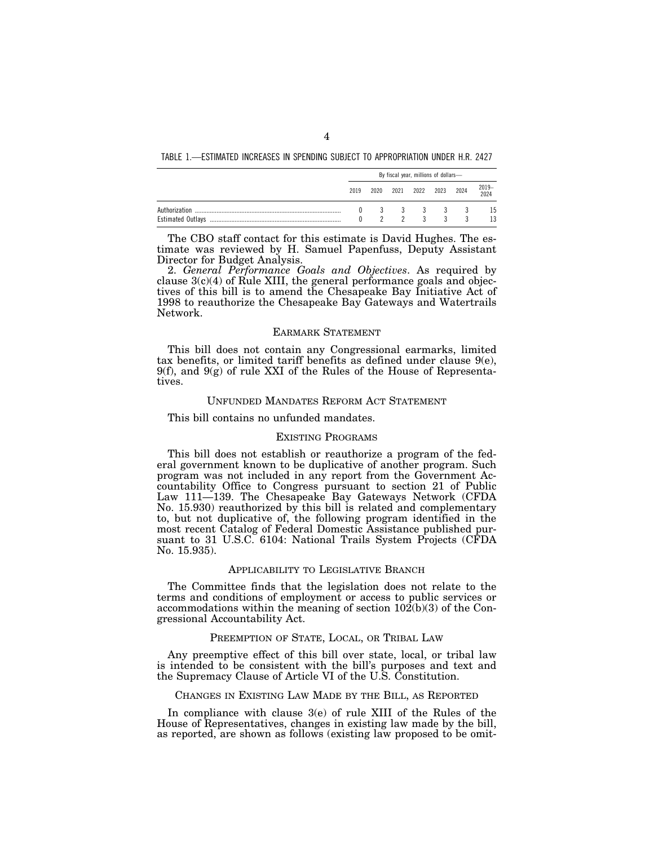TABLE 1.—ESTIMATED INCREASES IN SPENDING SUBJECT TO APPROPRIATION UNDER H.R. 2427

|               | By fiscal year, millions of dollars- |               |  |              |                          |  |               |  |  |
|---------------|--------------------------------------|---------------|--|--------------|--------------------------|--|---------------|--|--|
|               | 2019                                 |               |  |              | 2020 2021 2022 2023 2024 |  | 2019-<br>2024 |  |  |
| Authorization |                                      | $\frac{3}{2}$ |  | $\mathbf{3}$ | 3 3 3 3                  |  | 15<br>13      |  |  |

The CBO staff contact for this estimate is David Hughes. The estimate was reviewed by H. Samuel Papenfuss, Deputy Assistant Director for Budget Analysis.

2. *General Performance Goals and Objectives*. As required by clause 3(c)(4) of Rule XIII, the general performance goals and objectives of this bill is to amend the Chesapeake Bay Initiative Act of 1998 to reauthorize the Chesapeake Bay Gateways and Watertrails Network.

#### EARMARK STATEMENT

This bill does not contain any Congressional earmarks, limited tax benefits, or limited tariff benefits as defined under clause 9(e),  $9(f)$ , and  $9(g)$  of rule XXI of the Rules of the House of Representatives.

## UNFUNDED MANDATES REFORM ACT STATEMENT

#### This bill contains no unfunded mandates.

#### EXISTING PROGRAMS

This bill does not establish or reauthorize a program of the federal government known to be duplicative of another program. Such program was not included in any report from the Government Accountability Office to Congress pursuant to section 21 of Public Law 111—139. The Chesapeake Bay Gateways Network (CFDA No. 15.930) reauthorized by this bill is related and complementary to, but not duplicative of, the following program identified in the most recent Catalog of Federal Domestic Assistance published pursuant to 31 U.S.C. 6104: National Trails System Projects (CFDA No. 15.935).

#### APPLICABILITY TO LEGISLATIVE BRANCH

The Committee finds that the legislation does not relate to the terms and conditions of employment or access to public services or accommodations within the meaning of section 102(b)(3) of the Congressional Accountability Act.

### PREEMPTION OF STATE, LOCAL, OR TRIBAL LAW

Any preemptive effect of this bill over state, local, or tribal law is intended to be consistent with the bill's purposes and text and the Supremacy Clause of Article VI of the U.S. Constitution.

#### CHANGES IN EXISTING LAW MADE BY THE BILL, AS REPORTED

In compliance with clause 3(e) of rule XIII of the Rules of the House of Representatives, changes in existing law made by the bill, as reported, are shown as follows (existing law proposed to be omit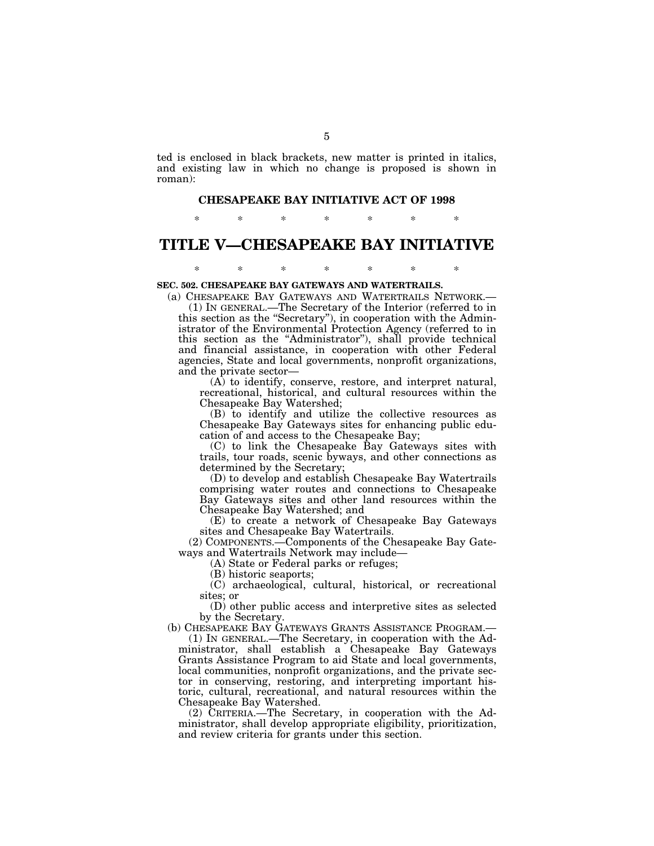ted is enclosed in black brackets, new matter is printed in italics, and existing law in which no change is proposed is shown in roman):

## **CHESAPEAKE BAY INITIATIVE ACT OF 1998**

\* \* \* \* \* \* \*

# **TITLE V—CHESAPEAKE BAY INITIATIVE**

\* \* \* \* \* \* \*

#### **SEC. 502. CHESAPEAKE BAY GATEWAYS AND WATERTRAILS.**

(a) CHESAPEAKE BAY GATEWAYS AND WATERTRAILS NETWORK.— (1) IN GENERAL.—The Secretary of the Interior (referred to in this section as the ''Secretary''), in cooperation with the Administrator of the Environmental Protection Agency (referred to in this section as the ''Administrator''), shall provide technical and financial assistance, in cooperation with other Federal agencies, State and local governments, nonprofit organizations, and the private sector—

(A) to identify, conserve, restore, and interpret natural, recreational, historical, and cultural resources within the Chesapeake Bay Watershed;

(B) to identify and utilize the collective resources as Chesapeake Bay Gateways sites for enhancing public education of and access to the Chesapeake Bay;

(C) to link the Chesapeake Bay Gateways sites with trails, tour roads, scenic byways, and other connections as determined by the Secretary;

(D) to develop and establish Chesapeake Bay Watertrails comprising water routes and connections to Chesapeake Bay Gateways sites and other land resources within the Chesapeake Bay Watershed; and

(E) to create a network of Chesapeake Bay Gateways sites and Chesapeake Bay Watertrails.

(2) COMPONENTS.—Components of the Chesapeake Bay Gateways and Watertrails Network may include—

(A) State or Federal parks or refuges;

(B) historic seaports;

(C) archaeological, cultural, historical, or recreational sites; or

(D) other public access and interpretive sites as selected by the Secretary.

(b) CHESAPEAKE BAY GATEWAYS GRANTS ASSISTANCE PROGRAM.— (1) IN GENERAL.—The Secretary, in cooperation with the Ad-

ministrator, shall establish a Chesapeake Bay Gateways Grants Assistance Program to aid State and local governments, local communities, nonprofit organizations, and the private sector in conserving, restoring, and interpreting important historic, cultural, recreational, and natural resources within the Chesapeake Bay Watershed.

(2) CRITERIA.—The Secretary, in cooperation with the Administrator, shall develop appropriate eligibility, prioritization, and review criteria for grants under this section.